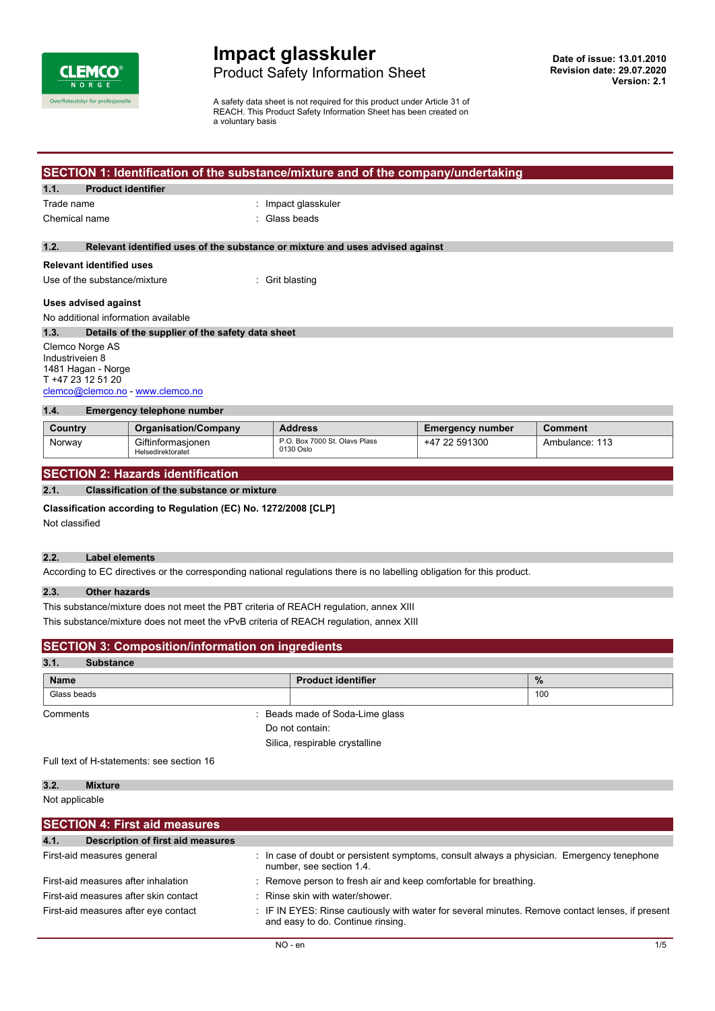

# **Impact glasskuler** Product Safety Information Sheet

A safety data sheet is not required for this product under Article 31 of REACH. This Product Safety Information Sheet has been created on a voluntary basis

# **SECTION 1: Identification of the substance/mixture and of the company/undertaking**

### **1.1. Product identifier**

Trade name  $\qquad \qquad$ : Impact glasskuler

Chemical name : Glass beads

### **1.2. Relevant identified uses of the substance or mixture and uses advised against**

### **Relevant identified uses**

Use of the substance/mixture : Grit blasting

#### **Uses advised against**

No additional information available

**1.3. Details of the supplier of the safety data sheet** Clemco Norge AS Industriveien 8 1481 Hagan - Norge

#### T +47 23 12 51 20 [clemco@clemco.no](mailto:clemco@clemco.no) -<www.clemco.no>

| 1.4.<br>Emergency telephone number |                                        |                                            |                         |                |  |  |  |
|------------------------------------|----------------------------------------|--------------------------------------------|-------------------------|----------------|--|--|--|
| Country                            | <b>Organisation/Company</b>            | <b>Address</b>                             | <b>Emergency number</b> | <b>Comment</b> |  |  |  |
| Norway                             | Giftinformasionen<br>Helsedirektoratet | P.O. Box 7000 St. Olavs Plass<br>0130 Oslo | +47 22 591300           | Ambulance: 113 |  |  |  |

## **SECTION 2: Hazards identification**

### **2.1. Classification of the substance or mixture**

### **Classification according to Regulation (EC) No. 1272/2008 [CLP]**

Not classified

### **2.2. Label elements**

According to EC directives or the corresponding national regulations there is no labelling obligation for this product.

### **2.3. Other hazards**

This substance/mixture does not meet the PBT criteria of REACH regulation, annex XIII This substance/mixture does not meet the vPvB criteria of REACH regulation, annex XIII

| <b>SECTION 3: Composition/information on ingredients</b> |                                |      |  |
|----------------------------------------------------------|--------------------------------|------|--|
| 3.1.<br><b>Substance</b>                                 |                                |      |  |
| <b>Name</b>                                              | <b>Product identifier</b>      | $\%$ |  |
| Glass beads                                              |                                | 100  |  |
| Comments                                                 | Beads made of Soda-Lime glass  |      |  |
|                                                          | Do not contain:                |      |  |
|                                                          | Silica, respirable crystalline |      |  |
|                                                          |                                |      |  |

Full text of H-statements: see section 16

### **3.2. Mixture**

Not applicable

| <b>SECTION 4: First aid measures</b>                                         |                                                                                                                                       |
|------------------------------------------------------------------------------|---------------------------------------------------------------------------------------------------------------------------------------|
| 4.1.<br><b>Description of first aid measures</b>                             |                                                                                                                                       |
| First-aid measures general                                                   | : In case of doubt or persistent symptoms, consult always a physician. Emergency tenephone<br>number, see section 1.4.                |
| First-aid measures after inhalation<br>First-aid measures after skin contact | : Remove person to fresh air and keep comfortable for breathing.<br>: Rinse skin with water/shower.                                   |
| First-aid measures after eye contact                                         | : IF IN EYES: Rinse cautiously with water for several minutes. Remove contact lenses, if present<br>and easy to do. Continue rinsing. |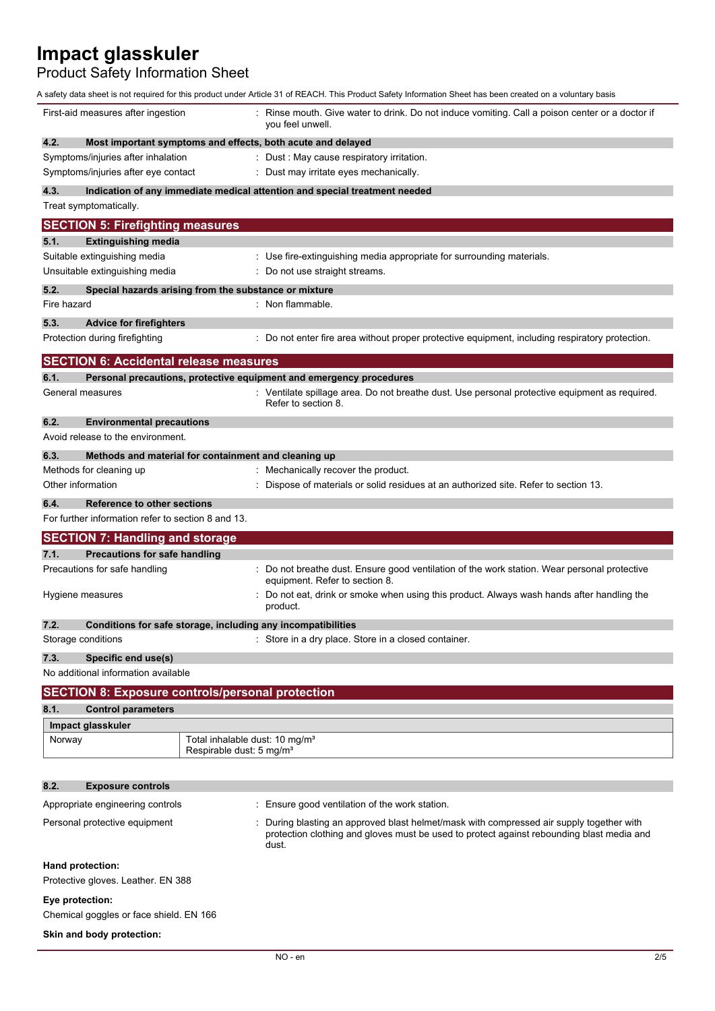Product Safety Information Sheet

| First-aid measures after ingestion                         | Rinse mouth. Give water to drink. Do not induce vomiting. Call a poison center or a doctor if<br>you feel unwell.                                                                            |
|------------------------------------------------------------|----------------------------------------------------------------------------------------------------------------------------------------------------------------------------------------------|
| 4.2.                                                       | Most important symptoms and effects, both acute and delayed                                                                                                                                  |
| Symptoms/injuries after inhalation                         | : Dust : May cause respiratory irritation.                                                                                                                                                   |
| Symptoms/injuries after eye contact                        | : Dust may irritate eyes mechanically.                                                                                                                                                       |
| 4.3.                                                       | Indication of any immediate medical attention and special treatment needed                                                                                                                   |
| Treat symptomatically.                                     |                                                                                                                                                                                              |
| <b>SECTION 5: Firefighting measures</b>                    |                                                                                                                                                                                              |
| <b>Extinguishing media</b><br>5.1.                         |                                                                                                                                                                                              |
| Suitable extinguishing media                               | : Use fire-extinguishing media appropriate for surrounding materials.                                                                                                                        |
| Unsuitable extinguishing media                             | : Do not use straight streams.                                                                                                                                                               |
| 5.2.                                                       | Special hazards arising from the substance or mixture                                                                                                                                        |
| Fire hazard                                                | : Non flammable.                                                                                                                                                                             |
| 5.3.<br><b>Advice for firefighters</b>                     |                                                                                                                                                                                              |
| Protection during firefighting                             | : Do not enter fire area without proper protective equipment, including respiratory protection.                                                                                              |
| <b>SECTION 6: Accidental release measures</b>              |                                                                                                                                                                                              |
| 6.1.                                                       | Personal precautions, protective equipment and emergency procedures                                                                                                                          |
| General measures                                           | : Ventilate spillage area. Do not breathe dust. Use personal protective equipment as required.<br>Refer to section 8.                                                                        |
| 6.2.<br><b>Environmental precautions</b>                   |                                                                                                                                                                                              |
| Avoid release to the environment.                          |                                                                                                                                                                                              |
| 6.3.                                                       | Methods and material for containment and cleaning up                                                                                                                                         |
| Methods for cleaning up                                    | : Mechanically recover the product.                                                                                                                                                          |
| Other information                                          | Dispose of materials or solid residues at an authorized site. Refer to section 13.                                                                                                           |
| 6.4.<br>Reference to other sections                        |                                                                                                                                                                                              |
| For further information refer to section 8 and 13.         |                                                                                                                                                                                              |
| <b>SECTION 7: Handling and storage</b>                     |                                                                                                                                                                                              |
| 7.1.<br><b>Precautions for safe handling</b>               |                                                                                                                                                                                              |
| Precautions for safe handling                              | : Do not breathe dust. Ensure good ventilation of the work station. Wear personal protective<br>equipment. Refer to section 8.                                                               |
| Hygiene measures                                           | Do not eat, drink or smoke when using this product. Always wash hands after handling the<br>product.                                                                                         |
| 7.2.                                                       | Conditions for safe storage, including any incompatibilities                                                                                                                                 |
| Storage conditions                                         | : Store in a dry place. Store in a closed container.                                                                                                                                         |
| 7.3.<br>Specific end use(s)                                |                                                                                                                                                                                              |
| No additional information available                        |                                                                                                                                                                                              |
| <b>SECTION 8: Exposure controls/personal protection</b>    |                                                                                                                                                                                              |
| 8.1.<br><b>Control parameters</b>                          |                                                                                                                                                                                              |
| Impact glasskuler                                          |                                                                                                                                                                                              |
| Norway                                                     | Total inhalable dust: 10 mg/m <sup>3</sup><br>Respirable dust: 5 mg/m <sup>3</sup>                                                                                                           |
| 8.2.<br><b>Exposure controls</b>                           |                                                                                                                                                                                              |
| Appropriate engineering controls                           | : Ensure good ventilation of the work station.                                                                                                                                               |
| Personal protective equipment                              | During blasting an approved blast helmet/mask with compressed air supply together with<br>protection clothing and gloves must be used to protect against rebounding blast media and<br>dust. |
| Hand protection:<br>Protective gloves. Leather. EN 388     |                                                                                                                                                                                              |
| Eye protection:<br>Chemical goggles or face shield. EN 166 |                                                                                                                                                                                              |
| Skin and body protection:                                  |                                                                                                                                                                                              |
|                                                            |                                                                                                                                                                                              |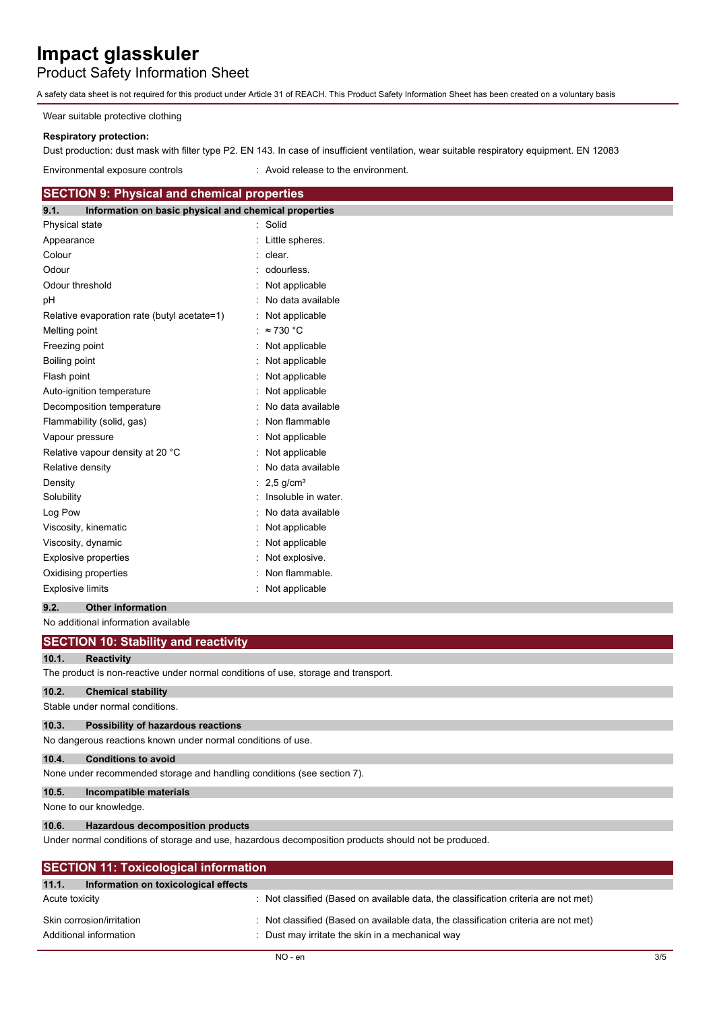Product Safety Information Sheet

A safety data sheet is not required for this product under Article 31 of REACH. This Product Safety Information Sheet has been created on a voluntary basis

Wear suitable protective clothing

# **Respiratory protection:**

Dust production: dust mask with filter type P2. EN 143. In case of insufficient ventilation, wear suitable respiratory equipment. EN 12083

Environmental exposure controls : Avoid release to the environment.

# **SECTION 9: Physical and chemical properties**

| 9.1.                    | Information on basic physical and chemical properties |                         |
|-------------------------|-------------------------------------------------------|-------------------------|
| Physical state          |                                                       | Solid                   |
| Appearance              |                                                       | Little spheres.         |
| Colour                  |                                                       | clear.                  |
| Odour                   |                                                       | odourless.              |
| Odour threshold         |                                                       | Not applicable          |
| рH                      |                                                       | No data available       |
|                         | Relative evaporation rate (butyl acetate=1)           | Not applicable          |
| Melting point           |                                                       | $\approx$ 730 °C        |
| Freezing point          |                                                       | Not applicable          |
| Boiling point           |                                                       | Not applicable          |
| Flash point             |                                                       | Not applicable          |
|                         | Auto-ignition temperature                             | Not applicable          |
|                         | Decomposition temperature                             | No data available       |
|                         | Flammability (solid, gas)                             | Non flammable           |
| Vapour pressure         |                                                       | Not applicable          |
|                         | Relative vapour density at 20 °C                      | Not applicable          |
| Relative density        |                                                       | No data available       |
| Density                 |                                                       | $2.5$ g/cm <sup>3</sup> |
| Solubility              |                                                       | Insoluble in water.     |
| Log Pow                 |                                                       | No data available       |
|                         | Viscosity, kinematic                                  | Not applicable          |
|                         | Viscosity, dynamic                                    | Not applicable          |
|                         | <b>Explosive properties</b>                           | Not explosive.          |
|                         | Oxidising properties                                  | Non flammable.          |
| <b>Explosive limits</b> |                                                       | Not applicable          |

## **9.2. Other information**

No additional information available

|                | <b>SECTION 10: Stability and reactivity</b>                                        |                                                                                                      |
|----------------|------------------------------------------------------------------------------------|------------------------------------------------------------------------------------------------------|
| 10.1.          | <b>Reactivity</b>                                                                  |                                                                                                      |
|                | The product is non-reactive under normal conditions of use, storage and transport. |                                                                                                      |
| 10.2.          | <b>Chemical stability</b>                                                          |                                                                                                      |
|                | Stable under normal conditions.                                                    |                                                                                                      |
| 10.3.          | <b>Possibility of hazardous reactions</b>                                          |                                                                                                      |
|                | No dangerous reactions known under normal conditions of use.                       |                                                                                                      |
| 10.4.          | <b>Conditions to avoid</b>                                                         |                                                                                                      |
|                | None under recommended storage and handling conditions (see section 7).            |                                                                                                      |
| 10.5.          | Incompatible materials                                                             |                                                                                                      |
|                | None to our knowledge.                                                             |                                                                                                      |
| 10.6.          | <b>Hazardous decomposition products</b>                                            |                                                                                                      |
|                |                                                                                    | Under normal conditions of storage and use, hazardous decomposition products should not be produced. |
|                | <b>SECTION 11: Toxicological information</b>                                       |                                                                                                      |
| 11.1.          | Information on toxicological effects                                               |                                                                                                      |
| Acute toxicity |                                                                                    | : Not classified (Based on available data, the classification criteria are not met)                  |
|                | Skin corrosion/irritation                                                          | Not classified (Based on available data, the classification criteria are not met)                    |
|                | Additional information                                                             | Dust may irritate the skin in a mechanical way                                                       |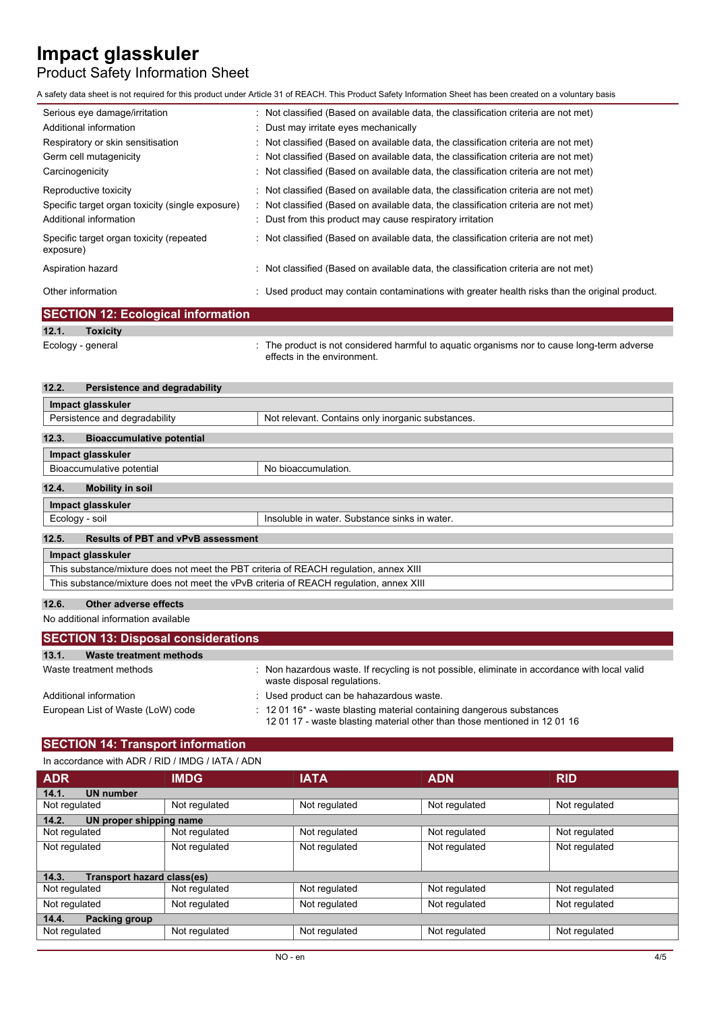# Product Safety Information Sheet

A safety data sheet is not required for this product under Article 31 of REACH. This Product Safety Information Sheet has been created on a voluntary basis

| Serious eye damage/irritation                         | : Not classified (Based on available data, the classification criteria are not met)            |
|-------------------------------------------------------|------------------------------------------------------------------------------------------------|
| Additional information                                | : Dust may irritate eyes mechanically                                                          |
| Respiratory or skin sensitisation                     | : Not classified (Based on available data, the classification criteria are not met)            |
| Germ cell mutagenicity                                | : Not classified (Based on available data, the classification criteria are not met)            |
| Carcinogenicity                                       | : Not classified (Based on available data, the classification criteria are not met)            |
| Reproductive toxicity                                 | : Not classified (Based on available data, the classification criteria are not met)            |
| Specific target organ toxicity (single exposure)      | : Not classified (Based on available data, the classification criteria are not met)            |
| Additional information                                | : Dust from this product may cause respiratory irritation                                      |
| Specific target organ toxicity (repeated<br>exposure) | : Not classified (Based on available data, the classification criteria are not met)            |
| Aspiration hazard                                     | : Not classified (Based on available data, the classification criteria are not met)            |
| Other information                                     | : Used product may contain contaminations with greater health risks than the original product. |

|                   | <b>SECTION 12: Ecological information</b> |                                                                                                                            |
|-------------------|-------------------------------------------|----------------------------------------------------------------------------------------------------------------------------|
| 12.1.             | <b>Toxicity</b>                           |                                                                                                                            |
| Ecology - general |                                           | : The product is not considered harmful to aquatic organisms nor to cause long-term adverse<br>effects in the environment. |

| 12.2. | Persistence and degradability                                                          |                                                   |
|-------|----------------------------------------------------------------------------------------|---------------------------------------------------|
|       | Impact glasskuler                                                                      |                                                   |
|       | Persistence and degradability                                                          | Not relevant. Contains only inorganic substances. |
| 12.3. | <b>Bioaccumulative potential</b>                                                       |                                                   |
|       | Impact glasskuler                                                                      |                                                   |
|       | Bioaccumulative potential                                                              | No bioaccumulation.                               |
| 12.4. | <b>Mobility in soil</b>                                                                |                                                   |
|       | Impact glasskuler                                                                      |                                                   |
|       | Ecology - soil                                                                         | Insoluble in water. Substance sinks in water.     |
| 12.5. | <b>Results of PBT and vPvB assessment</b>                                              |                                                   |
|       | Impact glasskuler                                                                      |                                                   |
|       | This substance/mixture does not meet the PBT criteria of REACH regulation, annex XIII  |                                                   |
|       | This substance/mixture does not meet the vPvB criteria of REACH requiation, annex XIII |                                                   |
|       |                                                                                        |                                                   |

## **12.6. Other adverse effects**

No additional information available

| <b>SECTION 13: Disposal considerations</b> |                                                                                                                                                                  |  |  |  |  |  |
|--------------------------------------------|------------------------------------------------------------------------------------------------------------------------------------------------------------------|--|--|--|--|--|
| 13.1.<br>Waste treatment methods           |                                                                                                                                                                  |  |  |  |  |  |
| Waste treatment methods                    | Non hazardous waste. If recycling is not possible, eliminate in accordance with local valid<br>waste disposal regulations.                                       |  |  |  |  |  |
| Additional information                     | : Used product can be hahazardous waste.                                                                                                                         |  |  |  |  |  |
| European List of Waste (LoW) code          | $\pm$ 12 01 16 <sup>*</sup> - waste blasting material containing dangerous substances<br>1201 17 - waste blasting material other than those mentioned in 1201 16 |  |  |  |  |  |

# **SECTION 14: Transport information**

|  | In accordance with ADR / RID / IMDG / IATA / ADN |  |  |  |  |  |
|--|--------------------------------------------------|--|--|--|--|--|
|--|--------------------------------------------------|--|--|--|--|--|

| <b>ADR</b>                          | <b>IMDG</b>   | <b>IATA</b>   | <b>ADN</b>    | <b>RID</b>    |
|-------------------------------------|---------------|---------------|---------------|---------------|
| <b>UN number</b><br>14.1.           |               |               |               |               |
| Not regulated                       | Not regulated | Not regulated | Not regulated | Not regulated |
| UN proper shipping name<br>14.2.    |               |               |               |               |
| Not regulated                       | Not regulated | Not regulated | Not regulated | Not regulated |
| Not regulated                       | Not regulated | Not regulated | Not regulated | Not regulated |
|                                     |               |               |               |               |
| 14.3.<br>Transport hazard class(es) |               |               |               |               |
| Not regulated                       | Not regulated | Not regulated | Not regulated | Not regulated |
| Not regulated                       | Not regulated | Not regulated | Not regulated | Not regulated |
| 14.4.<br><b>Packing group</b>       |               |               |               |               |
| Not regulated                       | Not regulated | Not regulated | Not regulated | Not regulated |
|                                     |               |               |               |               |